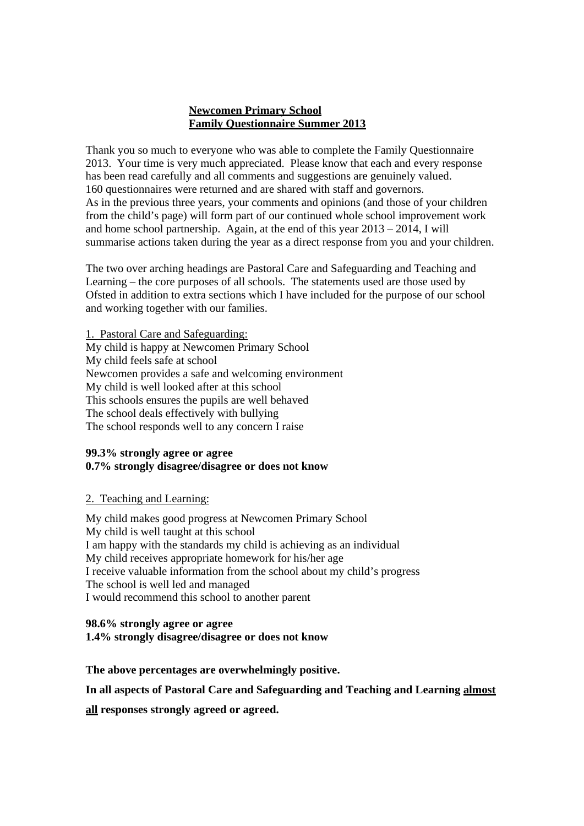### **Newcomen Primary School Family Questionnaire Summer 2013**

Thank you so much to everyone who was able to complete the Family Questionnaire 2013. Your time is very much appreciated. Please know that each and every response has been read carefully and all comments and suggestions are genuinely valued. 160 questionnaires were returned and are shared with staff and governors. As in the previous three years, your comments and opinions (and those of your children from the child's page) will form part of our continued whole school improvement work and home school partnership. Again, at the end of this year 2013 – 2014, I will summarise actions taken during the year as a direct response from you and your children.

The two over arching headings are Pastoral Care and Safeguarding and Teaching and Learning – the core purposes of all schools. The statements used are those used by Ofsted in addition to extra sections which I have included for the purpose of our school and working together with our families.

1. Pastoral Care and Safeguarding: My child is happy at Newcomen Primary School My child feels safe at school Newcomen provides a safe and welcoming environment My child is well looked after at this school This schools ensures the pupils are well behaved The school deals effectively with bullying The school responds well to any concern I raise

### **99.3% strongly agree or agree 0.7% strongly disagree/disagree or does not know**

### 2. Teaching and Learning:

My child makes good progress at Newcomen Primary School My child is well taught at this school I am happy with the standards my child is achieving as an individual My child receives appropriate homework for his/her age I receive valuable information from the school about my child's progress The school is well led and managed I would recommend this school to another parent

## **98.6% strongly agree or agree 1.4% strongly disagree/disagree or does not know**

**The above percentages are overwhelmingly positive.** 

# **In all aspects of Pastoral Care and Safeguarding and Teaching and Learning almost**

**all responses strongly agreed or agreed.**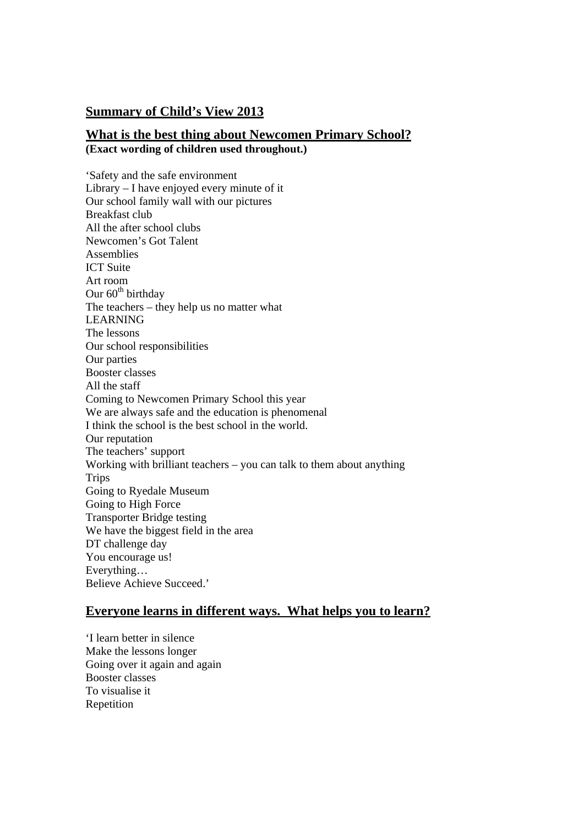# **Summary of Child's View 2013**

# **What is the best thing about Newcomen Primary School?**

**(Exact wording of children used throughout.)** 

'Safety and the safe environment Library – I have enjoyed every minute of it Our school family wall with our pictures Breakfast club All the after school clubs Newcomen's Got Talent Assemblies ICT Suite Art room Our  $60<sup>th</sup>$  birthday The teachers – they help us no matter what LEARNING The lessons Our school responsibilities Our parties Booster classes All the staff Coming to Newcomen Primary School this year We are always safe and the education is phenomenal I think the school is the best school in the world. Our reputation The teachers' support Working with brilliant teachers – you can talk to them about anything **Trips** Going to Ryedale Museum Going to High Force Transporter Bridge testing We have the biggest field in the area DT challenge day You encourage us! Everything… Believe Achieve Succeed.'

# **Everyone learns in different ways. What helps you to learn?**

'I learn better in silence Make the lessons longer Going over it again and again Booster classes To visualise it Repetition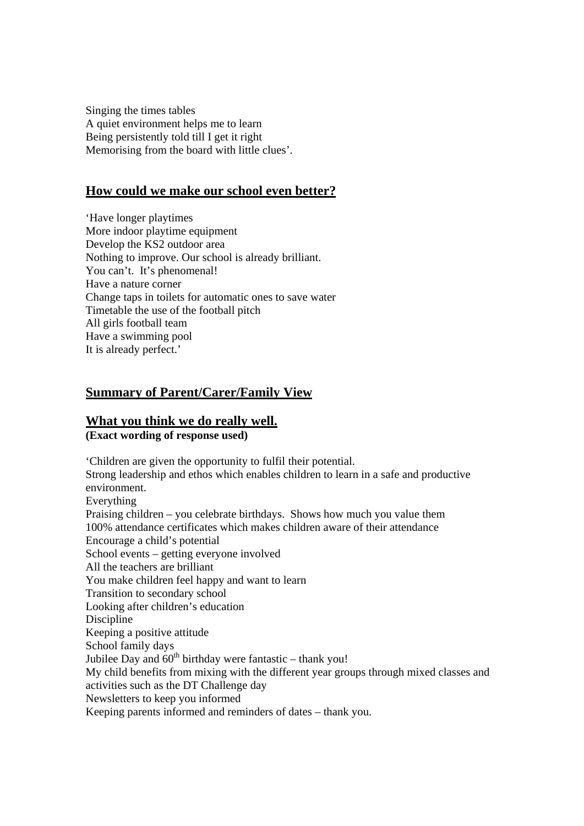Singing the times tables A quiet environment helps me to learn Being persistently told till I get it right Memorising from the board with little clues'.

## **How could we make our school even better?**

'Have longer playtimes More indoor playtime equipment Develop the KS2 outdoor area Nothing to improve. Our school is already brilliant. You can't. It's phenomenal! Have a nature corner Change taps in toilets for automatic ones to save water Timetable the use of the football pitch All girls football team Have a swimming pool It is already perfect.'

# **Summary of Parent/Carer/Family View**

#### **What you think we do really well. (Exact wording of response used)**

'Children are given the opportunity to fulfil their potential. Strong leadership and ethos which enables children to learn in a safe and productive environment. Everything Praising children – you celebrate birthdays. Shows how much you value them 100% attendance certificates which makes children aware of their attendance Encourage a child's potential School events – getting everyone involved All the teachers are brilliant You make children feel happy and want to learn Transition to secondary school Looking after children's education **Discipline** Keeping a positive attitude School family days Jubilee Day and  $60<sup>th</sup>$  birthday were fantastic – thank you! My child benefits from mixing with the different year groups through mixed classes and activities such as the DT Challenge day Newsletters to keep you informed Keeping parents informed and reminders of dates – thank you.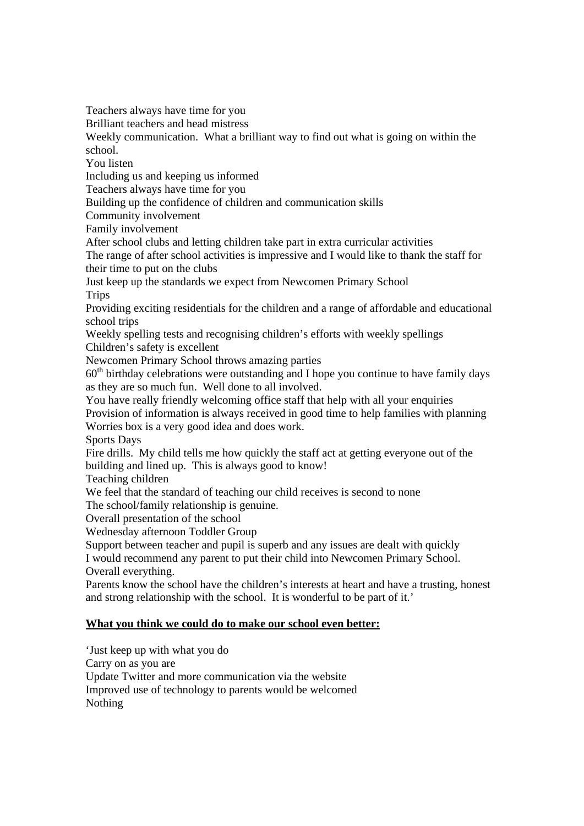Teachers always have time for you

Brilliant teachers and head mistress

Weekly communication. What a brilliant way to find out what is going on within the school.

You listen

Including us and keeping us informed

Teachers always have time for you

Building up the confidence of children and communication skills

Community involvement

Family involvement

After school clubs and letting children take part in extra curricular activities

The range of after school activities is impressive and I would like to thank the staff for their time to put on the clubs

Just keep up the standards we expect from Newcomen Primary School Trips

Providing exciting residentials for the children and a range of affordable and educational school trips

Weekly spelling tests and recognising children's efforts with weekly spellings Children's safety is excellent

Newcomen Primary School throws amazing parties

 $60<sup>th</sup>$  birthday celebrations were outstanding and I hope you continue to have family days as they are so much fun. Well done to all involved.

You have really friendly welcoming office staff that help with all your enquiries

Provision of information is always received in good time to help families with planning Worries box is a very good idea and does work.

Sports Days

Fire drills. My child tells me how quickly the staff act at getting everyone out of the building and lined up. This is always good to know!

Teaching children

We feel that the standard of teaching our child receives is second to none The school/family relationship is genuine.

Overall presentation of the school

Wednesday afternoon Toddler Group

Support between teacher and pupil is superb and any issues are dealt with quickly I would recommend any parent to put their child into Newcomen Primary School.

Overall everything.

Parents know the school have the children's interests at heart and have a trusting, honest and strong relationship with the school. It is wonderful to be part of it.'

# **What you think we could do to make our school even better:**

'Just keep up with what you do Carry on as you are Update Twitter and more communication via the website Improved use of technology to parents would be welcomed Nothing